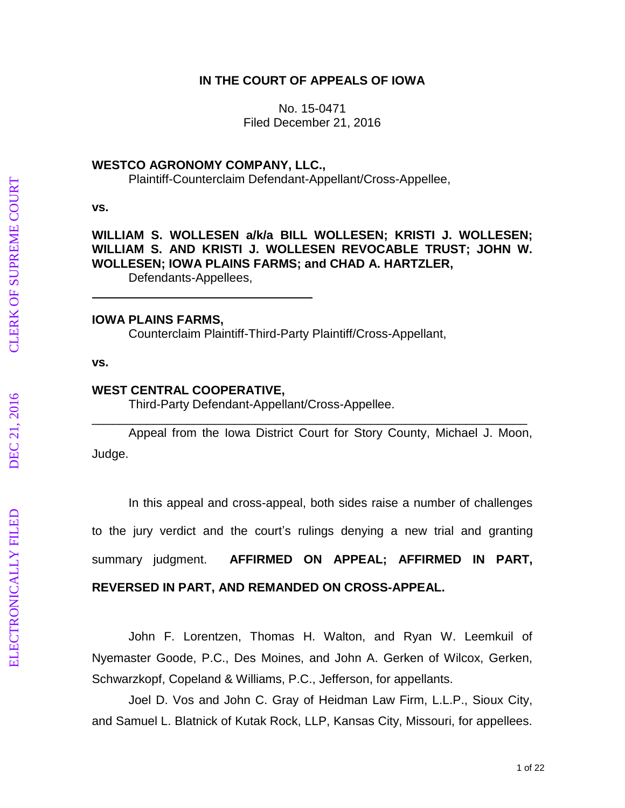## **IN THE COURT OF APPEALS OF IOWA**

No. 15 -0471 Filed December 21, 2016

#### **WESTCO AGRONOMY COMPANY, LLC.,**

Plaintiff-Counterclaim Defendant-Appellant/Cross-Appellee,

#### **vs.**

# **WILLIAM S. WOLLESEN a/k/a BILL WOLLESEN; KRISTI J. WOLLESEN; WILLIAM S. AND KRISTI J. WOLLESEN REVOCABLE TRUST; JOHN W. WOLLESEN; IOWA PLAINS FARMS; and CHAD A. HARTZLER,**

Defendants -Appellees,

#### **IOWA PLAINS FARMS,**

Counterclaim Plaintiff -Third -Party Plaintiff/Cross -Appellant,

#### **vs.**

#### **WEST CENTRAL COOPERATIVE,**

Third -Party Defendant -Appellant/Cross -Appellee.

Appeal from the Iowa District Court for Story County, Michael J. Moon, Judge.

\_\_\_\_\_\_\_\_\_\_\_\_\_\_\_\_\_\_\_\_\_\_\_\_\_\_\_\_\_\_\_\_\_\_\_\_\_\_\_\_\_\_\_\_\_\_\_\_\_\_\_\_\_\_\_\_\_\_\_\_\_\_\_\_

In this appeal and cross -appeal, both sides raise a number of challenges to the jury verdict and the court 's rulings denying a new trial and granting summary judgment. **AFFIRMED ON APPEAL; AFFIRMED IN PART,** 

# **REVERSED IN PART, AND REMANDED ON CROSS -APPEAL .**

John F. Lorentzen, Thomas H. Walton, and Ryan W. Leemkuil of Nyemaster Goode, P.C., Des Moines, and John A. Gerken of Wilcox, Gerken, Schwarzkopf, Copeland & Williams, P.C., Jefferson, for appellants.

Joel D. Vos and John C. Gray of Heidman Law Firm, L.L.P., Sioux City, and Samuel L. Blatnick of Kutak Rock, LLP, Kansas City, Missouri, for appellees.

**ELECTRONICALLY FILED**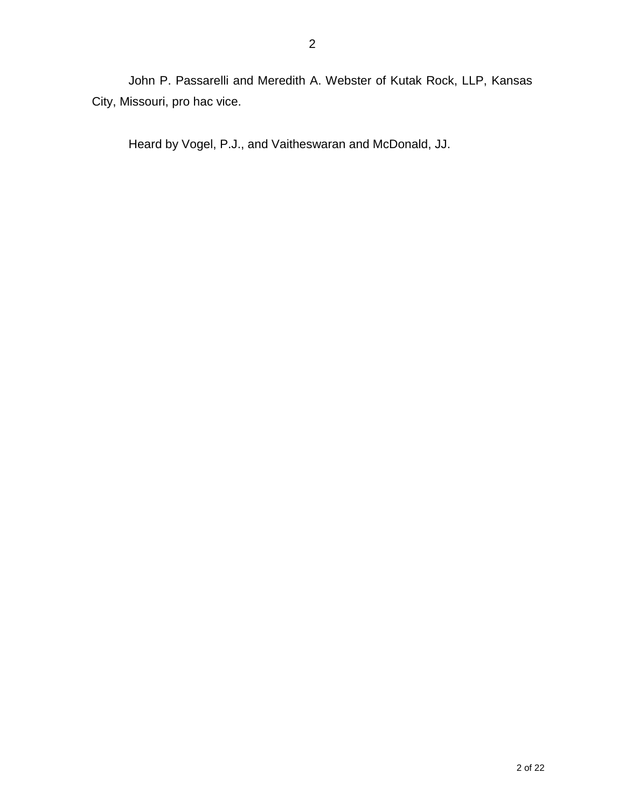John P. Passarelli and Meredith A. Webster of Kutak Rock, LLP, Kansas City, Missouri, pro hac vice.

Heard by Vogel, P.J., and Vaitheswaran and McDonald, JJ.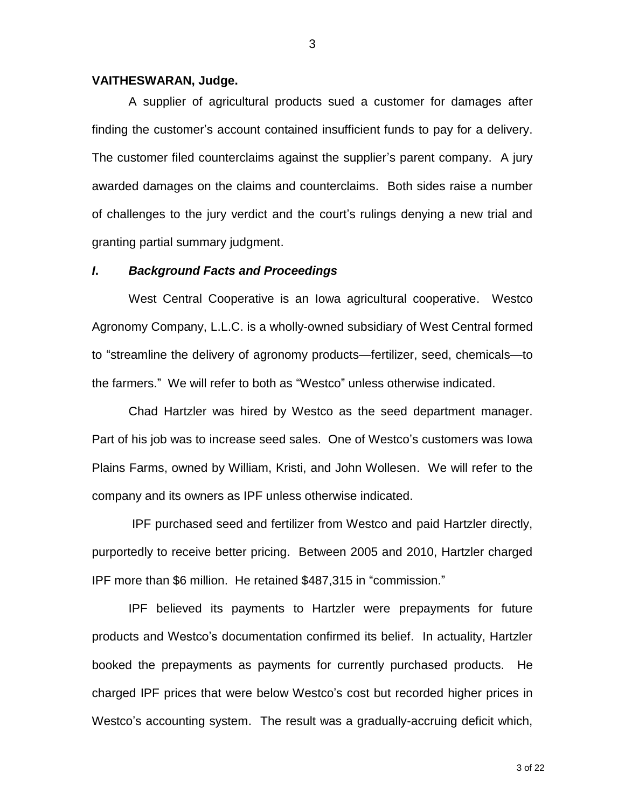#### **VAITHESWARAN, Judge.**

A supplier of agricultural products sued a customer for damages after finding the customer's account contained insufficient funds to pay for a delivery. The customer filed counterclaims against the supplier's parent company. A jury awarded damages on the claims and counterclaims. Both sides raise a number of challenges to the jury verdict and the court's rulings denying a new trial and granting partial summary judgment.

#### *I***.** *Background Facts and Proceedings*

West Central Cooperative is an Iowa agricultural cooperative. Westco Agronomy Company, L.L.C. is a wholly-owned subsidiary of West Central formed to "streamline the delivery of agronomy products—fertilizer, seed, chemicals—to the farmers." We will refer to both as "Westco" unless otherwise indicated.

Chad Hartzler was hired by Westco as the seed department manager. Part of his job was to increase seed sales. One of Westco's customers was Iowa Plains Farms, owned by William, Kristi, and John Wollesen. We will refer to the company and its owners as IPF unless otherwise indicated.

IPF purchased seed and fertilizer from Westco and paid Hartzler directly, purportedly to receive better pricing. Between 2005 and 2010, Hartzler charged IPF more than \$6 million. He retained \$487,315 in "commission."

IPF believed its payments to Hartzler were prepayments for future products and Westco's documentation confirmed its belief. In actuality, Hartzler booked the prepayments as payments for currently purchased products. He charged IPF prices that were below Westco's cost but recorded higher prices in Westco's accounting system. The result was a gradually-accruing deficit which,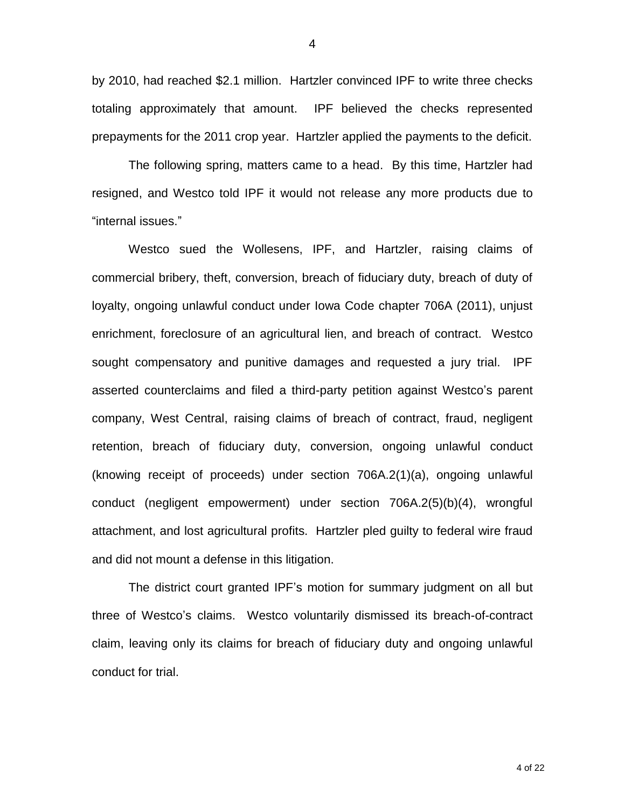by 2010, had reached \$2.1 million. Hartzler convinced IPF to write three checks totaling approximately that amount. IPF believed the checks represented prepayments for the 2011 crop year. Hartzler applied the payments to the deficit.

The following spring, matters came to a head. By this time, Hartzler had resigned, and Westco told IPF it would not release any more products due to "internal issues."

Westco sued the Wollesens, IPF, and Hartzler, raising claims of commercial bribery, theft, conversion, breach of fiduciary duty, breach of duty of loyalty, ongoing unlawful conduct under Iowa Code chapter 706A (2011), unjust enrichment, foreclosure of an agricultural lien, and breach of contract. Westco sought compensatory and punitive damages and requested a jury trial. IPF asserted counterclaims and filed a third-party petition against Westco's parent company, West Central, raising claims of breach of contract, fraud, negligent retention, breach of fiduciary duty, conversion, ongoing unlawful conduct (knowing receipt of proceeds) under section 706A.2(1)(a), ongoing unlawful conduct (negligent empowerment) under section 706A.2(5)(b)(4), wrongful attachment, and lost agricultural profits. Hartzler pled guilty to federal wire fraud and did not mount a defense in this litigation.

The district court granted IPF's motion for summary judgment on all but three of Westco's claims. Westco voluntarily dismissed its breach-of-contract claim, leaving only its claims for breach of fiduciary duty and ongoing unlawful conduct for trial.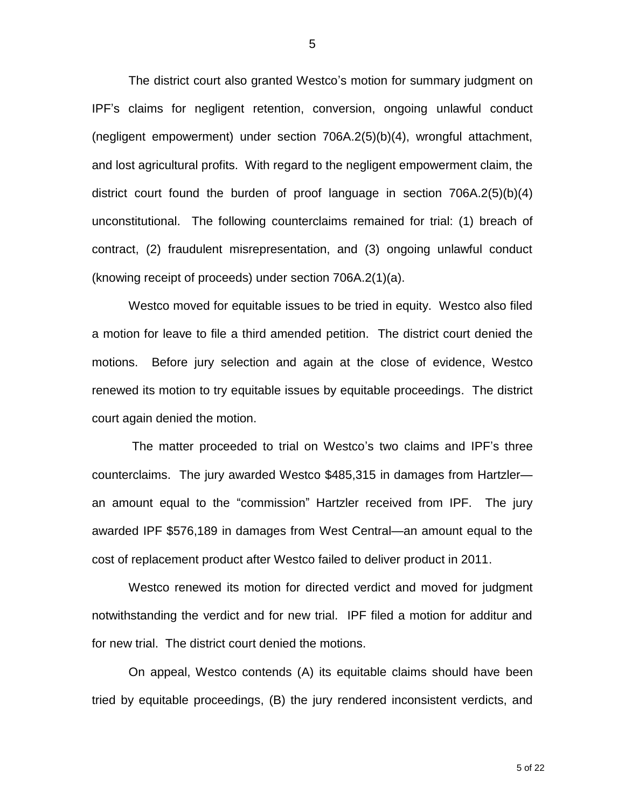The district court also granted Westco's motion for summary judgment on IPF's claims for negligent retention, conversion, ongoing unlawful conduct (negligent empowerment) under section 706A.2(5)(b)(4), wrongful attachment, and lost agricultural profits. With regard to the negligent empowerment claim, the district court found the burden of proof language in section 706A.2(5)(b)(4) unconstitutional. The following counterclaims remained for trial: (1) breach of contract, (2) fraudulent misrepresentation, and (3) ongoing unlawful conduct (knowing receipt of proceeds) under section 706A.2(1)(a).

Westco moved for equitable issues to be tried in equity. Westco also filed a motion for leave to file a third amended petition. The district court denied the motions. Before jury selection and again at the close of evidence, Westco renewed its motion to try equitable issues by equitable proceedings. The district court again denied the motion.

The matter proceeded to trial on Westco's two claims and IPF's three counterclaims. The jury awarded Westco \$485,315 in damages from Hartzler an amount equal to the "commission" Hartzler received from IPF. The jury awarded IPF \$576,189 in damages from West Central—an amount equal to the cost of replacement product after Westco failed to deliver product in 2011.

Westco renewed its motion for directed verdict and moved for judgment notwithstanding the verdict and for new trial. IPF filed a motion for additur and for new trial. The district court denied the motions.

On appeal, Westco contends (A) its equitable claims should have been tried by equitable proceedings, (B) the jury rendered inconsistent verdicts, and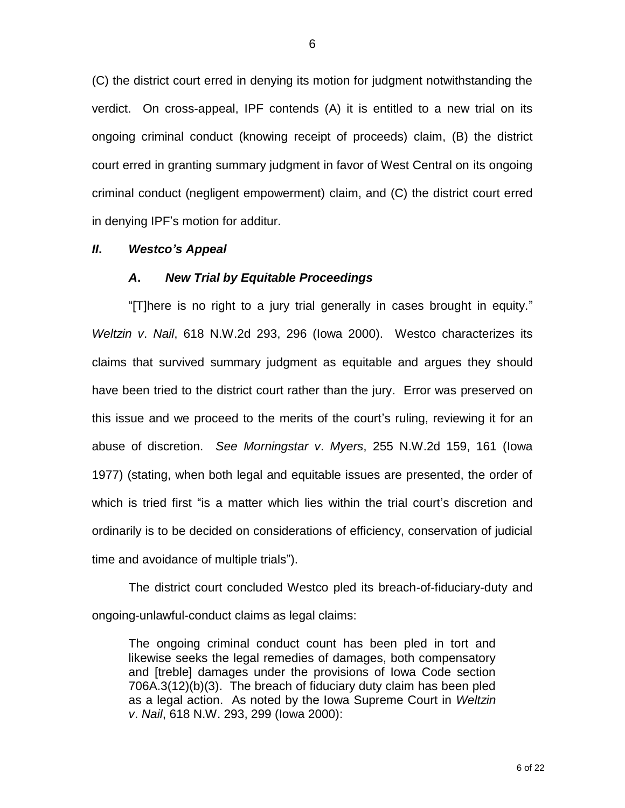(C) the district court erred in denying its motion for judgment notwithstanding the verdict. On cross-appeal, IPF contends (A) it is entitled to a new trial on its ongoing criminal conduct (knowing receipt of proceeds) claim, (B) the district court erred in granting summary judgment in favor of West Central on its ongoing criminal conduct (negligent empowerment) claim, and (C) the district court erred in denying IPF's motion for additur.

#### *II***.** *Westco's Appeal*

#### *A***.** *New Trial by Equitable Proceedings*

"[T]here is no right to a jury trial generally in cases brought in equity." *Weltzin v*. *Nail*, 618 N.W.2d 293, 296 (Iowa 2000). Westco characterizes its claims that survived summary judgment as equitable and argues they should have been tried to the district court rather than the jury. Error was preserved on this issue and we proceed to the merits of the court's ruling, reviewing it for an abuse of discretion. *See Morningstar v*. *Myers*, 255 N.W.2d 159, 161 (Iowa 1977) (stating, when both legal and equitable issues are presented, the order of which is tried first "is a matter which lies within the trial court's discretion and ordinarily is to be decided on considerations of efficiency, conservation of judicial time and avoidance of multiple trials").

The district court concluded Westco pled its breach-of-fiduciary-duty and ongoing-unlawful-conduct claims as legal claims:

The ongoing criminal conduct count has been pled in tort and likewise seeks the legal remedies of damages, both compensatory and [treble] damages under the provisions of Iowa Code section 706A.3(12)(b)(3). The breach of fiduciary duty claim has been pled as a legal action. As noted by the Iowa Supreme Court in *Weltzin v*. *Nail*, 618 N.W. 293, 299 (Iowa 2000):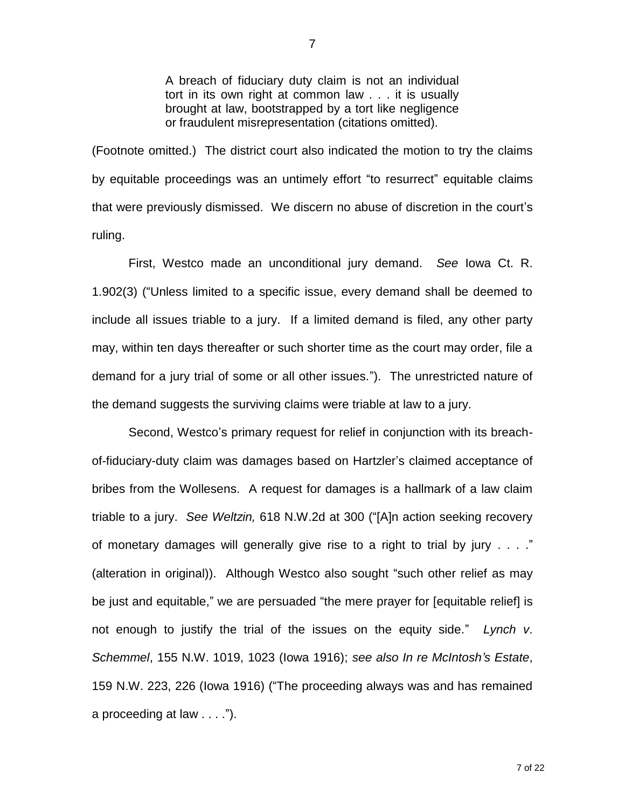A breach of fiduciary duty claim is not an individual tort in its own right at common law . . . it is usually brought at law, bootstrapped by a tort like negligence or fraudulent misrepresentation (citations omitted).

(Footnote omitted.) The district court also indicated the motion to try the claims by equitable proceedings was an untimely effort "to resurrect" equitable claims that were previously dismissed. We discern no abuse of discretion in the court's ruling.

First, Westco made an unconditional jury demand. *See* Iowa Ct. R. 1.902(3) ("Unless limited to a specific issue, every demand shall be deemed to include all issues triable to a jury. If a limited demand is filed, any other party may, within ten days thereafter or such shorter time as the court may order, file a demand for a jury trial of some or all other issues."). The unrestricted nature of the demand suggests the surviving claims were triable at law to a jury.

Second, Westco's primary request for relief in conjunction with its breachof-fiduciary-duty claim was damages based on Hartzler's claimed acceptance of bribes from the Wollesens. A request for damages is a hallmark of a law claim triable to a jury. *See Weltzin,* 618 N.W.2d at 300 ("[A]n action seeking recovery of monetary damages will generally give rise to a right to trial by jury  $\dots$ ." (alteration in original)). Although Westco also sought "such other relief as may be just and equitable," we are persuaded "the mere prayer for [equitable relief] is not enough to justify the trial of the issues on the equity side." *Lynch v*. *Schemmel*, 155 N.W. 1019, 1023 (Iowa 1916); *see also In re McIntosh's Estate*, 159 N.W. 223, 226 (Iowa 1916) ("The proceeding always was and has remained a proceeding at law . . . .").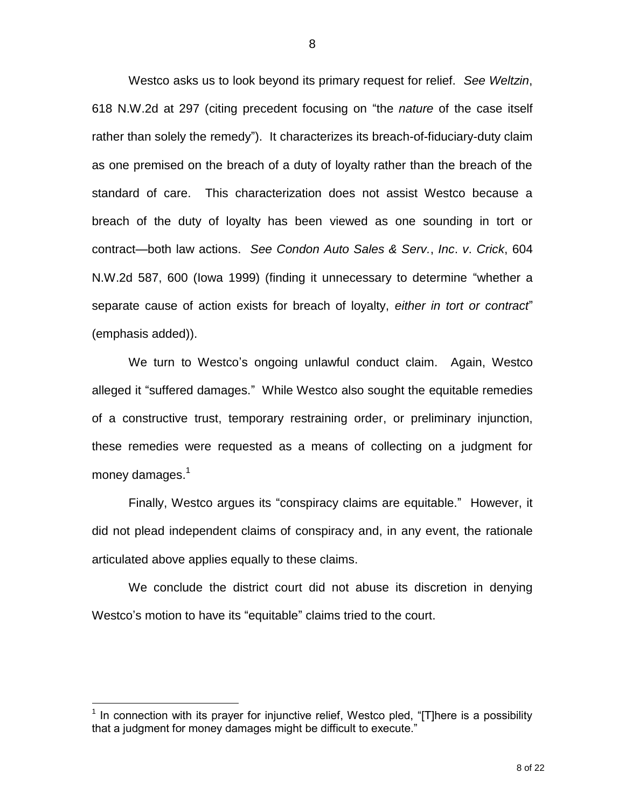Westco asks us to look beyond its primary request for relief. *See Weltzin*, 618 N.W.2d at 297 (citing precedent focusing on "the *nature* of the case itself rather than solely the remedy"). It characterizes its breach-of-fiduciary-duty claim as one premised on the breach of a duty of loyalty rather than the breach of the standard of care. This characterization does not assist Westco because a breach of the duty of loyalty has been viewed as one sounding in tort or contract—both law actions. *See Condon Auto Sales & Serv.*, *Inc*. *v*. *Crick*, 604 N.W.2d 587, 600 (Iowa 1999) (finding it unnecessary to determine "whether a separate cause of action exists for breach of loyalty, *either in tort or contract*" (emphasis added)).

We turn to Westco's ongoing unlawful conduct claim. Again, Westco alleged it "suffered damages." While Westco also sought the equitable remedies of a constructive trust, temporary restraining order, or preliminary injunction, these remedies were requested as a means of collecting on a judgment for money damages. $^1$ 

Finally, Westco argues its "conspiracy claims are equitable." However, it did not plead independent claims of conspiracy and, in any event, the rationale articulated above applies equally to these claims.

We conclude the district court did not abuse its discretion in denying Westco's motion to have its "equitable" claims tried to the court.

**TELEVIDEE:**<br><sup>1</sup> In connection with its prayer for injunctive relief, Westco pled, "[T]here is a possibility that a judgment for money damages might be difficult to execute."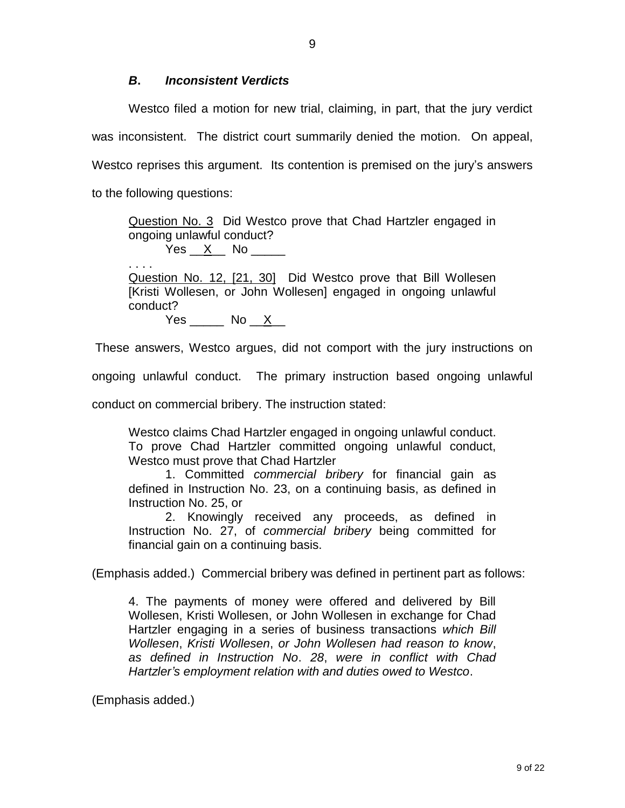## *B***.** *Inconsistent Verdicts*

Westco filed a motion for new trial, claiming, in part, that the jury verdict was inconsistent. The district court summarily denied the motion. On appeal, Westco reprises this argument. Its contention is premised on the jury's answers to the following questions:

Question No. 3 Did Westco prove that Chad Hartzler engaged in ongoing unlawful conduct?

 $Yes \; *X*$  No \_\_\_\_\_\_

. . . . Question No. 12, [21, 30] Did Westco prove that Bill Wollesen [Kristi Wollesen, or John Wollesen] engaged in ongoing unlawful conduct?

 $Yes$  No  $X$ 

These answers, Westco argues, did not comport with the jury instructions on

ongoing unlawful conduct. The primary instruction based ongoing unlawful

conduct on commercial bribery. The instruction stated:

Westco claims Chad Hartzler engaged in ongoing unlawful conduct. To prove Chad Hartzler committed ongoing unlawful conduct, Westco must prove that Chad Hartzler

1. Committed *commercial bribery* for financial gain as defined in Instruction No. 23, on a continuing basis, as defined in Instruction No. 25, or

2. Knowingly received any proceeds, as defined in Instruction No. 27, of *commercial bribery* being committed for financial gain on a continuing basis.

(Emphasis added.) Commercial bribery was defined in pertinent part as follows:

4. The payments of money were offered and delivered by Bill Wollesen, Kristi Wollesen, or John Wollesen in exchange for Chad Hartzler engaging in a series of business transactions *which Bill Wollesen*, *Kristi Wollesen*, *or John Wollesen had reason to know*, *as defined in Instruction No*. *28*, *were in conflict with Chad Hartzler's employment relation with and duties owed to Westco*.

(Emphasis added.)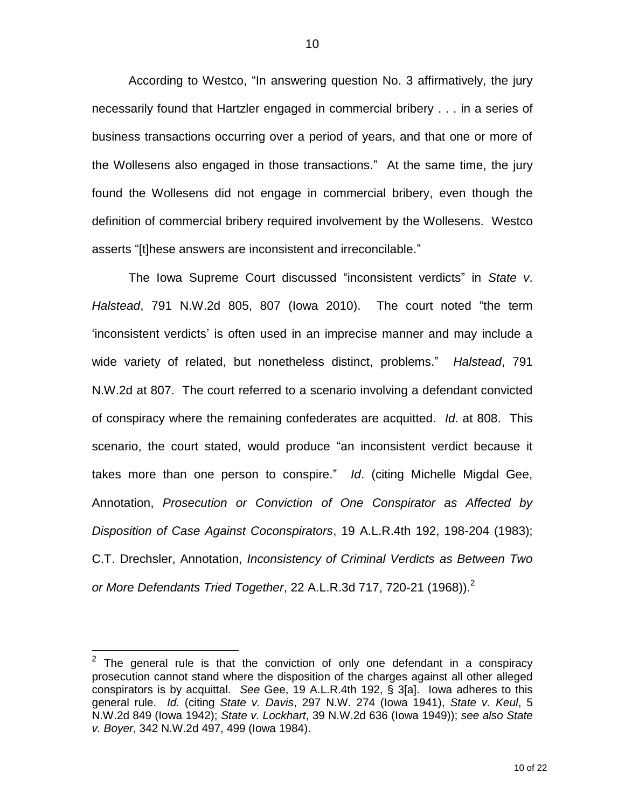According to Westco, "In answering question No. 3 affirmatively, the jury necessarily found that Hartzler engaged in commercial bribery . . . in a series of business transactions occurring over a period of years, and that one or more of the Wollesens also engaged in those transactions." At the same time, the jury found the Wollesens did not engage in commercial bribery, even though the definition of commercial bribery required involvement by the Wollesens. Westco asserts "[t]hese answers are inconsistent and irreconcilable."

The Iowa Supreme Court discussed "inconsistent verdicts" in *State v*. *Halstead*, 791 N.W.2d 805, 807 (Iowa 2010). The court noted "the term 'inconsistent verdicts' is often used in an imprecise manner and may include a wide variety of related, but nonetheless distinct, problems." *Halstead*, 791 N.W.2d at 807. The court referred to a scenario involving a defendant convicted of conspiracy where the remaining confederates are acquitted. *Id*. at 808. This scenario, the court stated, would produce "an inconsistent verdict because it takes more than one person to conspire." *Id*. (citing Michelle Migdal Gee, Annotation, *Prosecution or Conviction of One Conspirator as Affected by Disposition of Case Against Coconspirators*, 19 A.L.R.4th 192, 198-204 (1983); C.T. Drechsler, Annotation, *Inconsistency of Criminal Verdicts as Between Two or More Defendants Tried Together*, 22 A.L.R.3d 717, 720-21 (1968)). 2

 $\overline{a}$ 

 $2$  The general rule is that the conviction of only one defendant in a conspiracy prosecution cannot stand where the disposition of the charges against all other alleged conspirators is by acquittal. *See* Gee, 19 A.L.R.4th 192, § 3[a]. Iowa adheres to this general rule. *Id.* (citing *State v. Davis*, 297 N.W. 274 (Iowa 1941), *State v. Keul*, 5 N.W.2d 849 (Iowa 1942); *State v. Lockhart*, 39 N.W.2d 636 (Iowa 1949)); *see also State v. Boyer*, 342 N.W.2d 497, 499 (Iowa 1984).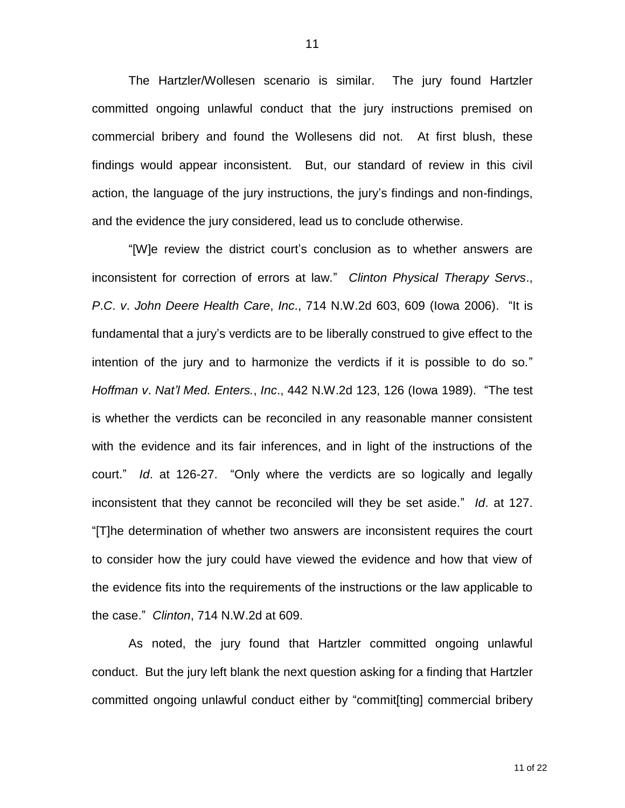The Hartzler/Wollesen scenario is similar. The jury found Hartzler committed ongoing unlawful conduct that the jury instructions premised on commercial bribery and found the Wollesens did not. At first blush, these findings would appear inconsistent. But, our standard of review in this civil action, the language of the jury instructions, the jury's findings and non-findings, and the evidence the jury considered, lead us to conclude otherwise.

"[W]e review the district court's conclusion as to whether answers are inconsistent for correction of errors at law." *Clinton Physical Therapy Servs*., *P*.*C*. *v*. *John Deere Health Care*, *Inc*., 714 N.W.2d 603, 609 (Iowa 2006). "It is fundamental that a jury's verdicts are to be liberally construed to give effect to the intention of the jury and to harmonize the verdicts if it is possible to do so." *Hoffman v*. *Nat'l Med. Enters.*, *Inc*., 442 N.W.2d 123, 126 (Iowa 1989). "The test is whether the verdicts can be reconciled in any reasonable manner consistent with the evidence and its fair inferences, and in light of the instructions of the court." *Id*. at 126-27. "Only where the verdicts are so logically and legally inconsistent that they cannot be reconciled will they be set aside." *Id*. at 127. "[T]he determination of whether two answers are inconsistent requires the court to consider how the jury could have viewed the evidence and how that view of the evidence fits into the requirements of the instructions or the law applicable to the case." *Clinton*, 714 N.W.2d at 609.

As noted, the jury found that Hartzler committed ongoing unlawful conduct. But the jury left blank the next question asking for a finding that Hartzler committed ongoing unlawful conduct either by "commit[ting] commercial bribery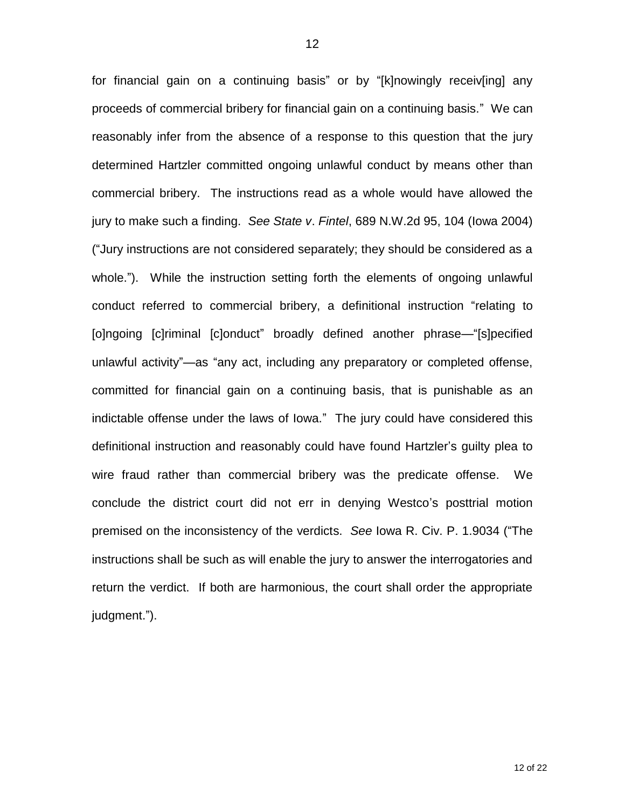for financial gain on a continuing basis" or by "[k]nowingly receiv[ing] any proceeds of commercial bribery for financial gain on a continuing basis." We can reasonably infer from the absence of a response to this question that the jury determined Hartzler committed ongoing unlawful conduct by means other than commercial bribery. The instructions read as a whole would have allowed the jury to make such a finding. *See State v*. *Fintel*, 689 N.W.2d 95, 104 (Iowa 2004) ("Jury instructions are not considered separately; they should be considered as a whole."). While the instruction setting forth the elements of ongoing unlawful conduct referred to commercial bribery, a definitional instruction "relating to [o]ngoing [c]riminal [c]onduct" broadly defined another phrase—"[s]pecified unlawful activity"—as "any act, including any preparatory or completed offense, committed for financial gain on a continuing basis, that is punishable as an indictable offense under the laws of Iowa." The jury could have considered this definitional instruction and reasonably could have found Hartzler's guilty plea to wire fraud rather than commercial bribery was the predicate offense. We conclude the district court did not err in denying Westco's posttrial motion premised on the inconsistency of the verdicts. *See* Iowa R. Civ. P. 1.9034 ("The instructions shall be such as will enable the jury to answer the interrogatories and return the verdict. If both are harmonious, the court shall order the appropriate judgment.").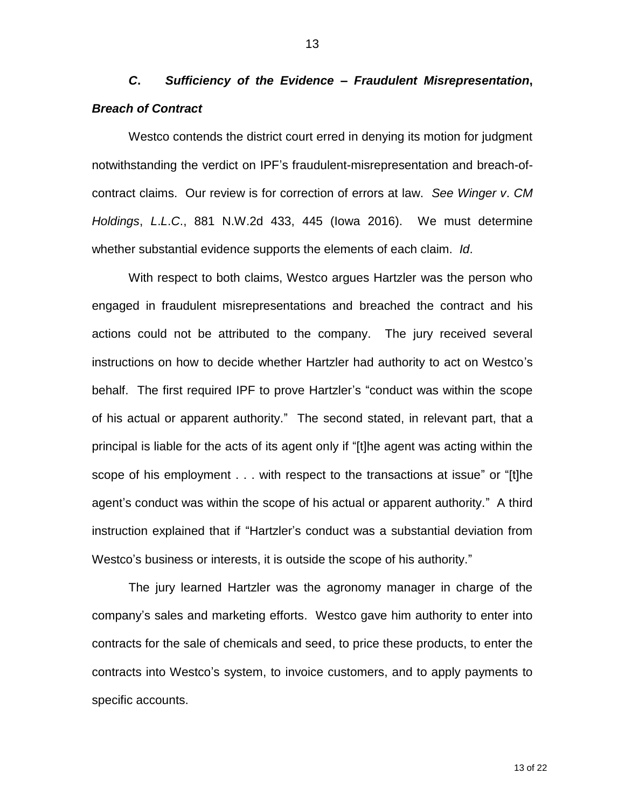*C***.** *Sufficiency of the Evidence – Fraudulent Misrepresentation***,** *Breach of Contract*

Westco contends the district court erred in denying its motion for judgment notwithstanding the verdict on IPF's fraudulent-misrepresentation and breach-ofcontract claims. Our review is for correction of errors at law. *See Winger v*. *CM Holdings*, *L*.*L*.*C*., 881 N.W.2d 433, 445 (Iowa 2016). We must determine whether substantial evidence supports the elements of each claim. *Id*.

With respect to both claims, Westco argues Hartzler was the person who engaged in fraudulent misrepresentations and breached the contract and his actions could not be attributed to the company. The jury received several instructions on how to decide whether Hartzler had authority to act on Westco's behalf. The first required IPF to prove Hartzler's "conduct was within the scope of his actual or apparent authority." The second stated, in relevant part, that a principal is liable for the acts of its agent only if "[t]he agent was acting within the scope of his employment . . . with respect to the transactions at issue" or "[t]he agent's conduct was within the scope of his actual or apparent authority." A third instruction explained that if "Hartzler's conduct was a substantial deviation from Westco's business or interests, it is outside the scope of his authority."

The jury learned Hartzler was the agronomy manager in charge of the company's sales and marketing efforts. Westco gave him authority to enter into contracts for the sale of chemicals and seed, to price these products, to enter the contracts into Westco's system, to invoice customers, and to apply payments to specific accounts.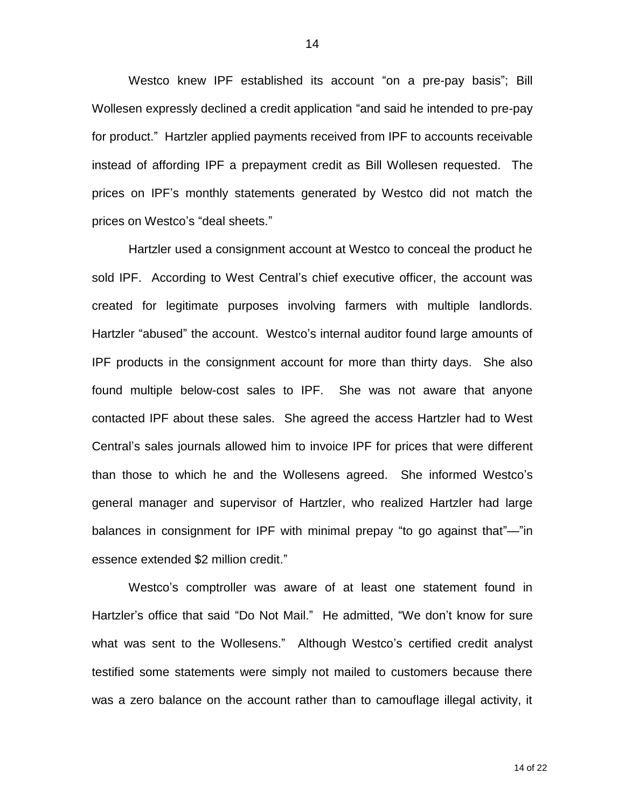Westco knew IPF established its account "on a pre-pay basis"; Bill Wollesen expressly declined a credit application "and said he intended to pre-pay for product." Hartzler applied payments received from IPF to accounts receivable instead of affording IPF a prepayment credit as Bill Wollesen requested. The prices on IPF's monthly statements generated by Westco did not match the prices on Westco's "deal sheets."

Hartzler used a consignment account at Westco to conceal the product he sold IPF. According to West Central's chief executive officer, the account was created for legitimate purposes involving farmers with multiple landlords. Hartzler "abused" the account. Westco's internal auditor found large amounts of IPF products in the consignment account for more than thirty days. She also found multiple below-cost sales to IPF. She was not aware that anyone contacted IPF about these sales. She agreed the access Hartzler had to West Central's sales journals allowed him to invoice IPF for prices that were different than those to which he and the Wollesens agreed. She informed Westco's general manager and supervisor of Hartzler, who realized Hartzler had large balances in consignment for IPF with minimal prepay "to go against that"—"in essence extended \$2 million credit."

Westco's comptroller was aware of at least one statement found in Hartzler's office that said "Do Not Mail." He admitted, "We don't know for sure what was sent to the Wollesens." Although Westco's certified credit analyst testified some statements were simply not mailed to customers because there was a zero balance on the account rather than to camouflage illegal activity, it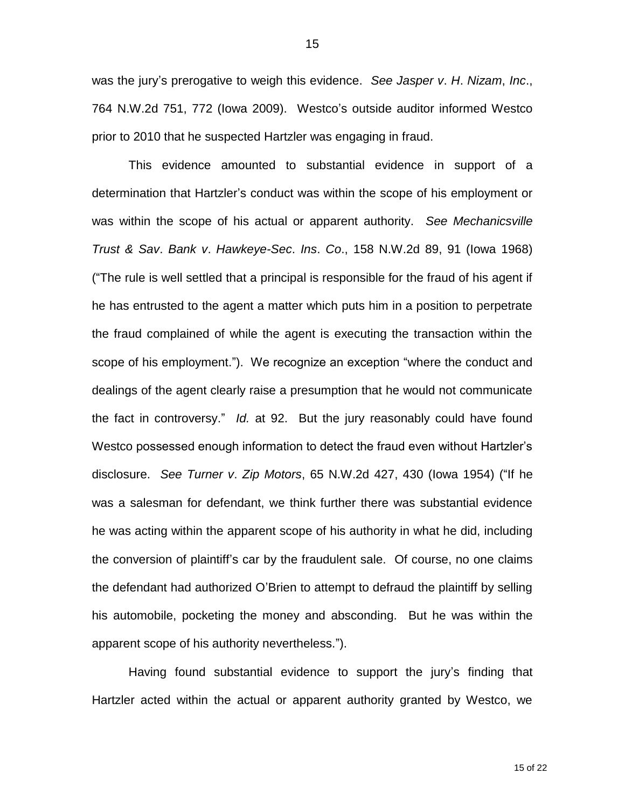was the jury's prerogative to weigh this evidence. *See Jasper v*. *H*. *Nizam*, *Inc*., 764 N.W.2d 751, 772 (Iowa 2009). Westco's outside auditor informed Westco prior to 2010 that he suspected Hartzler was engaging in fraud.

This evidence amounted to substantial evidence in support of a determination that Hartzler's conduct was within the scope of his employment or was within the scope of his actual or apparent authority. *See Mechanicsville Trust & Sav*. *Bank v*. *Hawkeye-Sec*. *Ins*. *Co*., 158 N.W.2d 89, 91 (Iowa 1968) ("The rule is well settled that a principal is responsible for the fraud of his agent if he has entrusted to the agent a matter which puts him in a position to perpetrate the fraud complained of while the agent is executing the transaction within the scope of his employment."). We recognize an exception "where the conduct and dealings of the agent clearly raise a presumption that he would not communicate the fact in controversy." *Id.* at 92. But the jury reasonably could have found Westco possessed enough information to detect the fraud even without Hartzler's disclosure. *See Turner v*. *Zip Motors*, 65 N.W.2d 427, 430 (Iowa 1954) ("If he was a salesman for defendant, we think further there was substantial evidence he was acting within the apparent scope of his authority in what he did, including the conversion of plaintiff's car by the fraudulent sale. Of course, no one claims the defendant had authorized O'Brien to attempt to defraud the plaintiff by selling his automobile, pocketing the money and absconding. But he was within the apparent scope of his authority nevertheless.").

Having found substantial evidence to support the jury's finding that Hartzler acted within the actual or apparent authority granted by Westco, we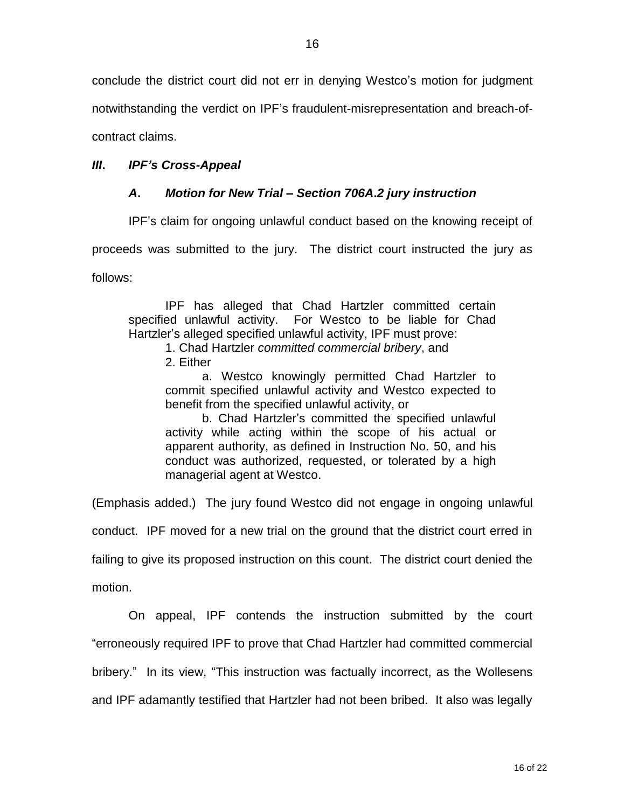conclude the district court did not err in denying Westco's motion for judgment

notwithstanding the verdict on IPF's fraudulent-misrepresentation and breach-of-

contract claims.

## *III***.** *IPF's Cross-Appeal*

## *A***.** *Motion for New Trial – Section 706A***.***2 jury instruction*

IPF's claim for ongoing unlawful conduct based on the knowing receipt of

proceeds was submitted to the jury. The district court instructed the jury as

follows:

IPF has alleged that Chad Hartzler committed certain specified unlawful activity. For Westco to be liable for Chad Hartzler's alleged specified unlawful activity, IPF must prove:

1. Chad Hartzler *committed commercial bribery*, and

2. Either

a. Westco knowingly permitted Chad Hartzler to commit specified unlawful activity and Westco expected to benefit from the specified unlawful activity, or

b. Chad Hartzler's committed the specified unlawful activity while acting within the scope of his actual or apparent authority, as defined in Instruction No. 50, and his conduct was authorized, requested, or tolerated by a high managerial agent at Westco.

(Emphasis added.) The jury found Westco did not engage in ongoing unlawful

conduct. IPF moved for a new trial on the ground that the district court erred in

failing to give its proposed instruction on this count. The district court denied the

motion.

On appeal, IPF contends the instruction submitted by the court "erroneously required IPF to prove that Chad Hartzler had committed commercial bribery." In its view, "This instruction was factually incorrect, as the Wollesens and IPF adamantly testified that Hartzler had not been bribed. It also was legally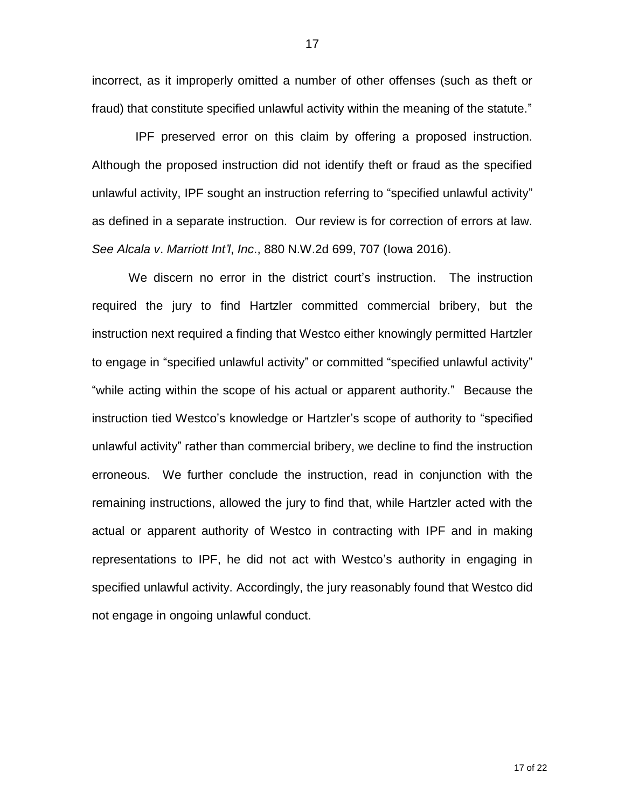incorrect, as it improperly omitted a number of other offenses (such as theft or fraud) that constitute specified unlawful activity within the meaning of the statute."

 IPF preserved error on this claim by offering a proposed instruction. Although the proposed instruction did not identify theft or fraud as the specified unlawful activity, IPF sought an instruction referring to "specified unlawful activity" as defined in a separate instruction. Our review is for correction of errors at law. *See Alcala v*. *Marriott Int'l*, *Inc*., 880 N.W.2d 699, 707 (Iowa 2016).

We discern no error in the district court's instruction. The instruction required the jury to find Hartzler committed commercial bribery, but the instruction next required a finding that Westco either knowingly permitted Hartzler to engage in "specified unlawful activity" or committed "specified unlawful activity" "while acting within the scope of his actual or apparent authority." Because the instruction tied Westco's knowledge or Hartzler's scope of authority to "specified unlawful activity" rather than commercial bribery, we decline to find the instruction erroneous. We further conclude the instruction, read in conjunction with the remaining instructions, allowed the jury to find that, while Hartzler acted with the actual or apparent authority of Westco in contracting with IPF and in making representations to IPF, he did not act with Westco's authority in engaging in specified unlawful activity. Accordingly, the jury reasonably found that Westco did not engage in ongoing unlawful conduct.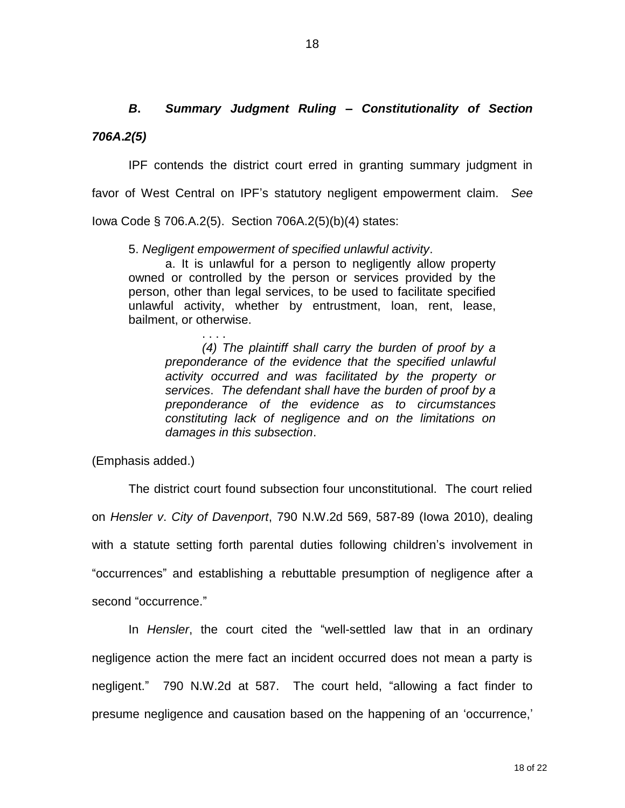*B***.** *Summary Judgment Ruling – Constitutionality of Section 706A***.***2(5)* 

IPF contends the district court erred in granting summary judgment in favor of West Central on IPF's statutory negligent empowerment claim. *See*  Iowa Code § 706.A.2(5). Section 706A.2(5)(b)(4) states:

5. *Negligent empowerment of specified unlawful activity*.

a. It is unlawful for a person to negligently allow property owned or controlled by the person or services provided by the person, other than legal services, to be used to facilitate specified unlawful activity, whether by entrustment, loan, rent, lease, bailment, or otherwise.

. . . . *(4) The plaintiff shall carry the burden of proof by a preponderance of the evidence that the specified unlawful activity occurred and was facilitated by the property or services*. *The defendant shall have the burden of proof by a preponderance of the evidence as to circumstances constituting lack of negligence and on the limitations on damages in this subsection*.

(Emphasis added.)

The district court found subsection four unconstitutional. The court relied on *Hensler v*. *City of Davenport*, 790 N.W.2d 569, 587-89 (Iowa 2010), dealing with a statute setting forth parental duties following children's involvement in "occurrences" and establishing a rebuttable presumption of negligence after a second "occurrence."

In *Hensler*, the court cited the "well-settled law that in an ordinary negligence action the mere fact an incident occurred does not mean a party is negligent." 790 N.W.2d at 587. The court held, "allowing a fact finder to presume negligence and causation based on the happening of an 'occurrence,'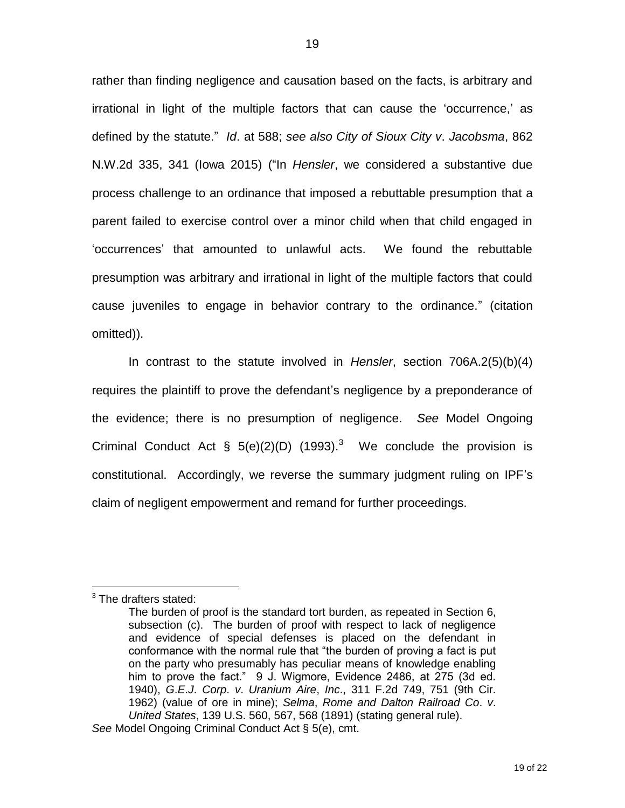rather than finding negligence and causation based on the facts, is arbitrary and irrational in light of the multiple factors that can cause the 'occurrence,' as defined by the statute." *Id*. at 588; *see also City of Sioux City v*. *Jacobsma*, 862 N.W.2d 335, 341 (Iowa 2015) ("In *Hensler*, we considered a substantive due process challenge to an ordinance that imposed a rebuttable presumption that a parent failed to exercise control over a minor child when that child engaged in 'occurrences' that amounted to unlawful acts. We found the rebuttable presumption was arbitrary and irrational in light of the multiple factors that could cause juveniles to engage in behavior contrary to the ordinance." (citation omitted)).

In contrast to the statute involved in *Hensler*, section 706A.2(5)(b)(4) requires the plaintiff to prove the defendant's negligence by a preponderance of the evidence; there is no presumption of negligence. *See* Model Ongoing Criminal Conduct Act § 5(e)(2)(D) (1993).<sup>3</sup> We conclude the provision is constitutional. Accordingly, we reverse the summary judgment ruling on IPF's claim of negligent empowerment and remand for further proceedings.

 $\overline{a}$ 

 $3$  The drafters stated:

The burden of proof is the standard tort burden, as repeated in Section 6, subsection (c). The burden of proof with respect to lack of negligence and evidence of special defenses is placed on the defendant in conformance with the normal rule that "the burden of proving a fact is put on the party who presumably has peculiar means of knowledge enabling him to prove the fact." 9 J. Wigmore, Evidence 2486, at 275 (3d ed. 1940), *G*.*E*.*J*. *Corp*. *v*. *Uranium Aire*, *Inc*., 311 F.2d 749, 751 (9th Cir. 1962) (value of ore in mine); *Selma*, *Rome and Dalton Railroad Co*. *v*. *United States*, 139 U.S. 560, 567, 568 (1891) (stating general rule). *See* Model Ongoing Criminal Conduct Act § 5(e), cmt.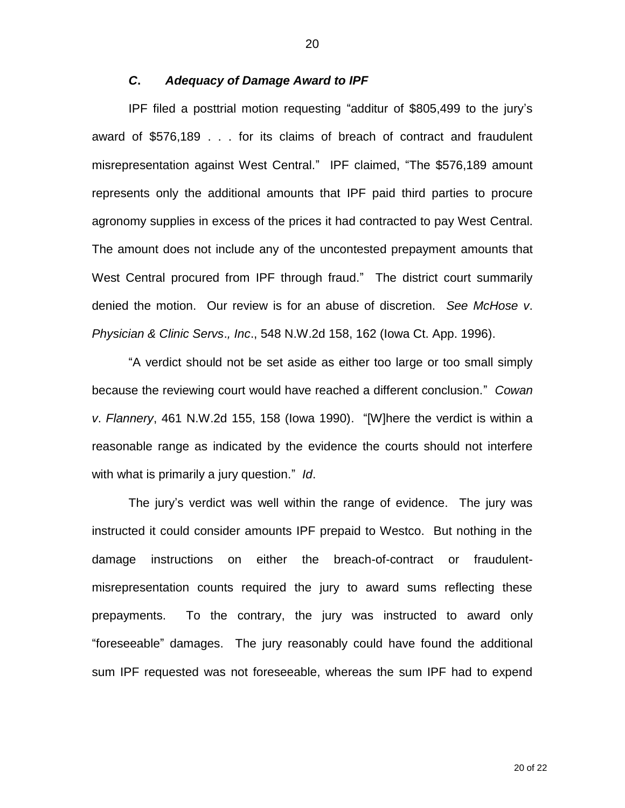#### *C***.** *Adequacy of Damage Award to IPF*

IPF filed a posttrial motion requesting "additur of \$805,499 to the jury's award of \$576,189 . . . for its claims of breach of contract and fraudulent misrepresentation against West Central." IPF claimed, "The \$576,189 amount represents only the additional amounts that IPF paid third parties to procure agronomy supplies in excess of the prices it had contracted to pay West Central. The amount does not include any of the uncontested prepayment amounts that West Central procured from IPF through fraud." The district court summarily denied the motion. Our review is for an abuse of discretion. *See McHose v*. *Physician & Clinic Servs*.*, Inc*., 548 N.W.2d 158, 162 (Iowa Ct. App. 1996).

"A verdict should not be set aside as either too large or too small simply because the reviewing court would have reached a different conclusion." *Cowan v*. *Flannery*, 461 N.W.2d 155, 158 (Iowa 1990). "[W]here the verdict is within a reasonable range as indicated by the evidence the courts should not interfere with what is primarily a jury question." *Id*.

The jury's verdict was well within the range of evidence. The jury was instructed it could consider amounts IPF prepaid to Westco. But nothing in the damage instructions on either the breach-of-contract or fraudulentmisrepresentation counts required the jury to award sums reflecting these prepayments. To the contrary, the jury was instructed to award only "foreseeable" damages. The jury reasonably could have found the additional sum IPF requested was not foreseeable, whereas the sum IPF had to expend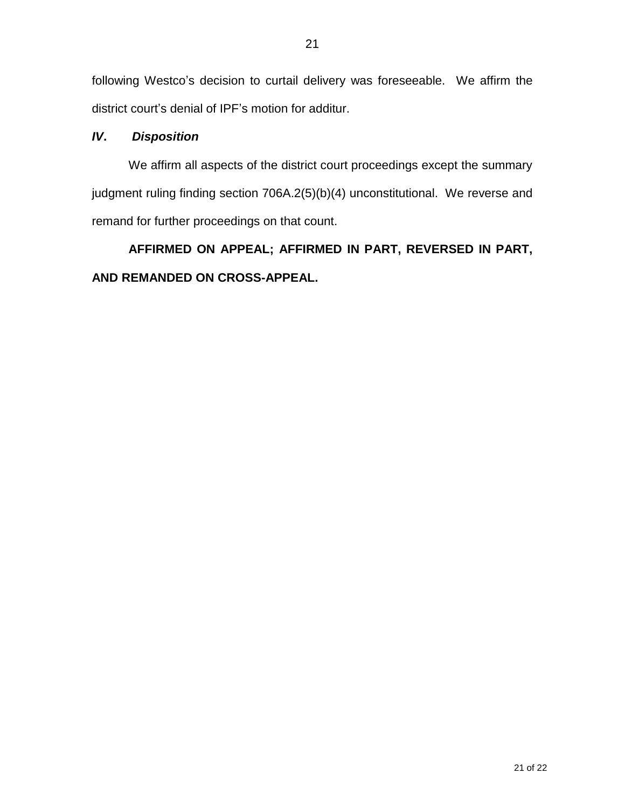following Westco's decision to curtail delivery was foreseeable. We affirm the district court's denial of IPF's motion for additur.

## *IV***.** *Disposition*

We affirm all aspects of the district court proceedings except the summary judgment ruling finding section 706A.2(5)(b)(4) unconstitutional. We reverse and remand for further proceedings on that count.

# **AFFIRMED ON APPEAL; AFFIRMED IN PART, REVERSED IN PART, AND REMANDED ON CROSS-APPEAL.**